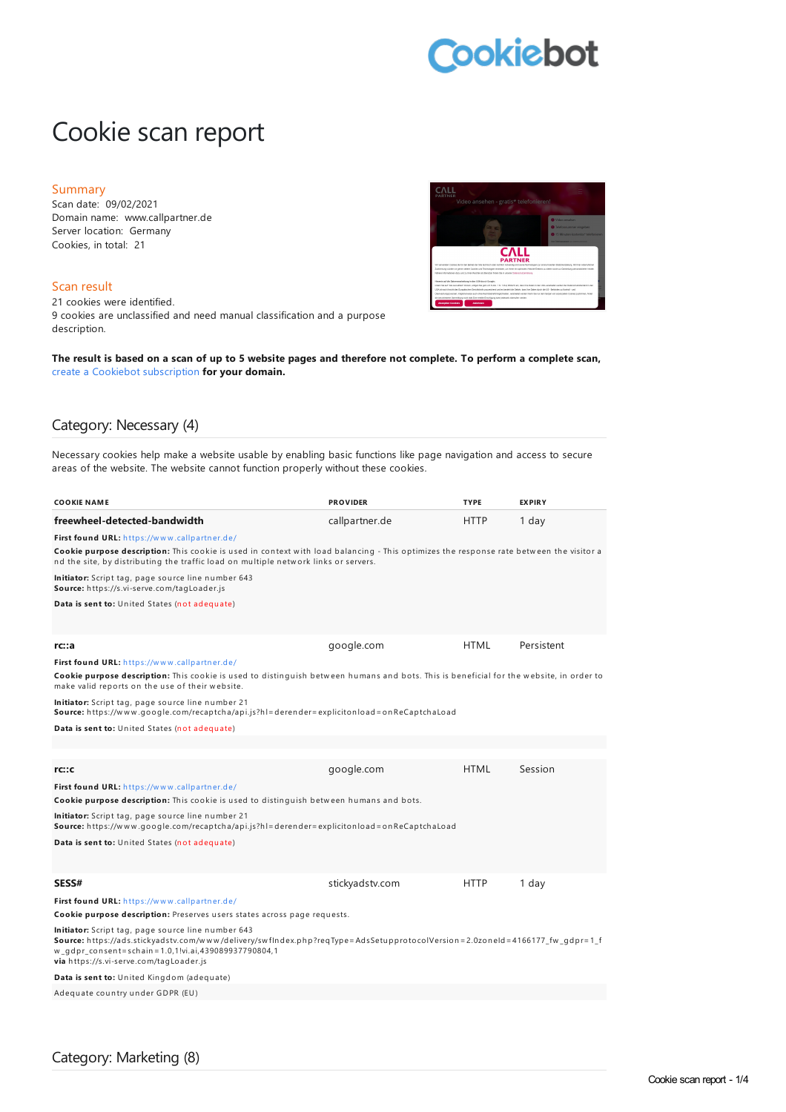# **Cookiebot**

# Cookie scan report

#### Summary

Scan date: 09/02/2021 Domain name: www.callpartner.de Server location: Germany Cookies, in total: 21

#### Scan result

21 cookies were identified. 9 cookies are unclassified and need manual classification and a purpose description.



The result is based on a scan of up to 5 website pages and therefore not complete. To perform a complete scan, create a Cookiebot [subscription](https://manage.cookiebot.com/goto/signup) **for your domain.**

### Category: Necessary (4)

Necessary cookies help make a website usable by enabling basic functions like page navigation and access to secure areas of the website. The website cannot function properly without these cookies.

| <b>COOKIE NAME</b>                                                                                                                                                                                                                                                                  | <b>PROVIDER</b> | <b>TYPE</b> | <b>EXPIRY</b> |  |
|-------------------------------------------------------------------------------------------------------------------------------------------------------------------------------------------------------------------------------------------------------------------------------------|-----------------|-------------|---------------|--|
| freewheel-detected-bandwidth                                                                                                                                                                                                                                                        | callpartner.de  | HTTP        | 1 day         |  |
| First found URL: https://www.callpartner.de/                                                                                                                                                                                                                                        |                 |             |               |  |
| Cookie purpose description: This cookie is used in context with load balancing - This optimizes the response rate between the visitor a<br>nd the site, by distributing the traffic load on multiple network links or servers.                                                      |                 |             |               |  |
| Initiator: Script tag, page source line number 643<br>Source: https://s.vi-serve.com/tagLoader.js                                                                                                                                                                                   |                 |             |               |  |
| Data is sent to: United States (not adequate)                                                                                                                                                                                                                                       |                 |             |               |  |
|                                                                                                                                                                                                                                                                                     |                 |             |               |  |
| rc:aa                                                                                                                                                                                                                                                                               | google.com      | <b>HTML</b> | Persistent    |  |
| First found URL: https://www.callpartner.de/                                                                                                                                                                                                                                        |                 |             |               |  |
| Cookie purpose description: This cookie is used to distinguish between humans and bots. This is beneficial for the website, in order to<br>make valid reports on the use of their website.                                                                                          |                 |             |               |  |
| Initiator: Script tag, page source line number 21<br>Source: https://www.google.com/recaptcha/api.js?hl=derender=explicitonload=onReCaptchaLoad                                                                                                                                     |                 |             |               |  |
| Data is sent to: United States (not adequate)                                                                                                                                                                                                                                       |                 |             |               |  |
|                                                                                                                                                                                                                                                                                     |                 |             |               |  |
|                                                                                                                                                                                                                                                                                     |                 |             |               |  |
| rc:cc                                                                                                                                                                                                                                                                               | google.com      | <b>HTML</b> | Session       |  |
| First found URL: https://www.callpartner.de/                                                                                                                                                                                                                                        |                 |             |               |  |
| Cookie purpose description: This cookie is used to distinguish between humans and bots.                                                                                                                                                                                             |                 |             |               |  |
| Initiator: Script tag, page source line number 21<br>Source: https://www.google.com/recaptcha/api.js?hl=derender=explicitonload=onReCaptchaLoad                                                                                                                                     |                 |             |               |  |
| <b>Data is sent to:</b> United States (not adequate)                                                                                                                                                                                                                                |                 |             |               |  |
|                                                                                                                                                                                                                                                                                     |                 |             |               |  |
| <b>SESS#</b>                                                                                                                                                                                                                                                                        | stickyadstv.com | HTTP        | 1 day         |  |
| First found URL: https://www.callpartner.de/                                                                                                                                                                                                                                        |                 |             |               |  |
| Cookie purpose description: Preserves users states across page requests.                                                                                                                                                                                                            |                 |             |               |  |
| Initiator: Script tag, page source line number 643<br>Source: https://ads.stickyadstv.com/www/delivery/swflndex.php?reqType=AdsSetupprotocolVersion=2.0zoneId=4166177_fw_qdpr=1_f<br>w_gdpr_consent=schain=1.0,1!vi.ai,439089937790804,1<br>via https://s.vi-serve.com/tagLoader.js |                 |             |               |  |
| Data is sent to: United Kingdom (adequate)                                                                                                                                                                                                                                          |                 |             |               |  |
| Adequate country under GDPR (EU)                                                                                                                                                                                                                                                    |                 |             |               |  |
|                                                                                                                                                                                                                                                                                     |                 |             |               |  |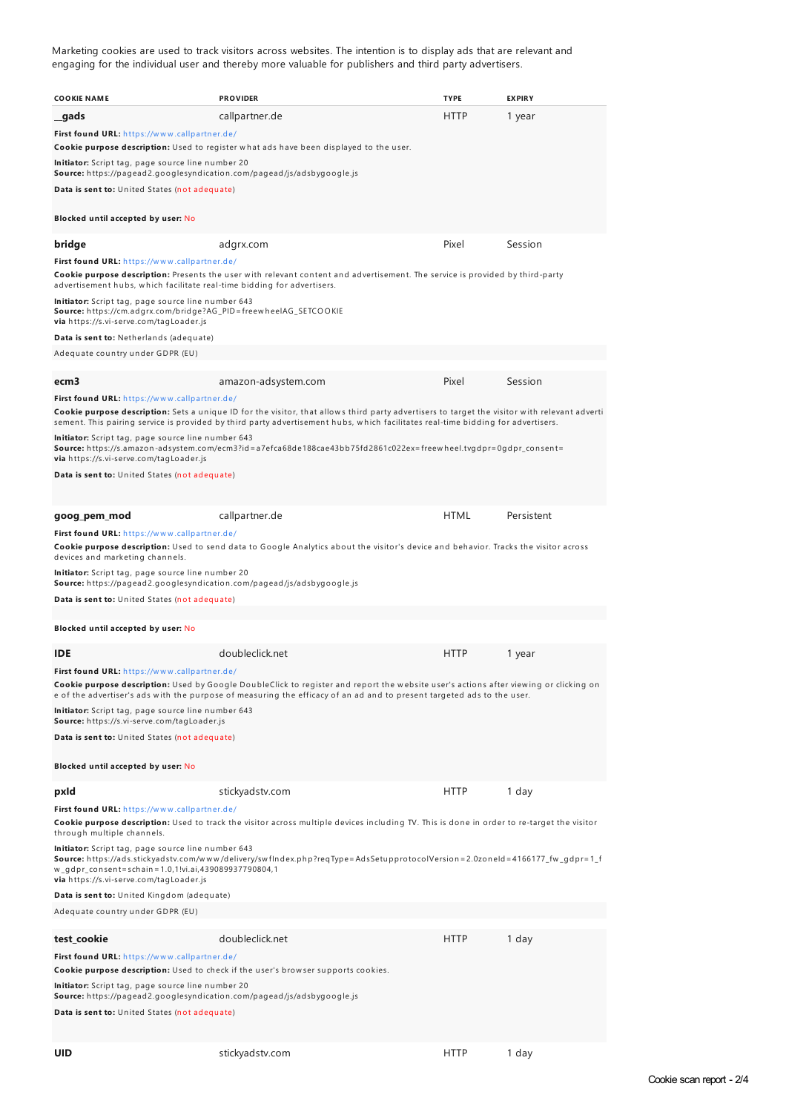Marketing cookies are used to track visitors across websites. The intention is to display ads that are relevant and engaging for the individual user and thereby more valuable for publishers and third party advertisers.

| <b>COOKIE NAME</b>                                                                                                                                                                                                                                                                                                                                                                                                                                                                                                 | <b>PROVIDER</b>                                                                                                                                                                                                                                                 | <b>TYPE</b> | <b>EXPIRY</b> |  |
|--------------------------------------------------------------------------------------------------------------------------------------------------------------------------------------------------------------------------------------------------------------------------------------------------------------------------------------------------------------------------------------------------------------------------------------------------------------------------------------------------------------------|-----------------------------------------------------------------------------------------------------------------------------------------------------------------------------------------------------------------------------------------------------------------|-------------|---------------|--|
| gads                                                                                                                                                                                                                                                                                                                                                                                                                                                                                                               | callpartner.de                                                                                                                                                                                                                                                  | HTTP        | 1 year        |  |
| First found URL: https://www.callpartner.de/                                                                                                                                                                                                                                                                                                                                                                                                                                                                       | Cookie purpose description: Used to register what ads have been displayed to the user.                                                                                                                                                                          |             |               |  |
| <b>Initiator:</b> Script tag, page source line number 20<br>Source: https://pagead2.googlesyndication.com/pagead/js/adsbygoogle.js                                                                                                                                                                                                                                                                                                                                                                                 |                                                                                                                                                                                                                                                                 |             |               |  |
| Data is sent to: United States (not adequate)                                                                                                                                                                                                                                                                                                                                                                                                                                                                      |                                                                                                                                                                                                                                                                 |             |               |  |
| Blocked until accepted by user: No                                                                                                                                                                                                                                                                                                                                                                                                                                                                                 |                                                                                                                                                                                                                                                                 |             |               |  |
| bridge                                                                                                                                                                                                                                                                                                                                                                                                                                                                                                             | adgrx.com                                                                                                                                                                                                                                                       | Pixel       | Session       |  |
| First found URL: https://www.callpartner.de/<br>advertisement hubs, which facilitate real-time bidding for advertisers.                                                                                                                                                                                                                                                                                                                                                                                            | Cookie purpose description: Presents the user with relevant content and advertisement. The service is provided by third-party                                                                                                                                   |             |               |  |
| <b>Initiator:</b> Script tag, page source line number 643<br>Source: https://cm.adgrx.com/bridge?AG_PID=freewheelAG_SETCOOKIE<br>via https://s.vi-serve.com/tagLoader.js                                                                                                                                                                                                                                                                                                                                           |                                                                                                                                                                                                                                                                 |             |               |  |
| Data is sent to: Netherlands (adequate)                                                                                                                                                                                                                                                                                                                                                                                                                                                                            |                                                                                                                                                                                                                                                                 |             |               |  |
| Adequate country under GDPR (EU)                                                                                                                                                                                                                                                                                                                                                                                                                                                                                   |                                                                                                                                                                                                                                                                 |             |               |  |
| ecm <sub>3</sub>                                                                                                                                                                                                                                                                                                                                                                                                                                                                                                   | amazon-adsystem.com                                                                                                                                                                                                                                             | Pixel       | Session       |  |
|                                                                                                                                                                                                                                                                                                                                                                                                                                                                                                                    |                                                                                                                                                                                                                                                                 |             |               |  |
| First found URL: https://www.callpartner.de/<br>Cookie purpose description: Sets a unique ID for the visitor, that allows third party advertisers to target the visitor with relevant adverti<br>sement. This pairing service is provided by third party advertisement hubs, which facilitates real-time bidding for advertisers.<br><b>Initiator:</b> Script tag, page source line number 643<br>Source: https://s.amazon-adsystem.com/ecm3?id=a7efca68de188cae43bb75fd2861c022ex=freewheel.tvgdpr=0gdpr_consent= |                                                                                                                                                                                                                                                                 |             |               |  |
| via https://s.vi-serve.com/tagLoader.js<br>Data is sent to: United States (not adequate)                                                                                                                                                                                                                                                                                                                                                                                                                           |                                                                                                                                                                                                                                                                 |             |               |  |
| goog_pem_mod                                                                                                                                                                                                                                                                                                                                                                                                                                                                                                       | callpartner.de                                                                                                                                                                                                                                                  | <b>HTML</b> | Persistent    |  |
| First found URL: https://www.callpartner.de/<br>devices and marketing channels.                                                                                                                                                                                                                                                                                                                                                                                                                                    | Cookie purpose description: Used to send data to Google Analytics about the visitor's device and behavior. Tracks the visitor across                                                                                                                            |             |               |  |
| <b>Initiator:</b> Script tag, page source line number 20<br><b>Source:</b> https://pagead2.googlesyndication.com/pagead/js/adsbygoogle.js                                                                                                                                                                                                                                                                                                                                                                          |                                                                                                                                                                                                                                                                 |             |               |  |
| Data is sent to: United States (not adequate)                                                                                                                                                                                                                                                                                                                                                                                                                                                                      |                                                                                                                                                                                                                                                                 |             |               |  |
| Blocked until accepted by user: No                                                                                                                                                                                                                                                                                                                                                                                                                                                                                 |                                                                                                                                                                                                                                                                 |             |               |  |
| <b>IDE</b>                                                                                                                                                                                                                                                                                                                                                                                                                                                                                                         | doubleclick.net                                                                                                                                                                                                                                                 | <b>HTTP</b> | 1 year        |  |
| First found URL: https://www.callpartner.de/                                                                                                                                                                                                                                                                                                                                                                                                                                                                       | Cookie purpose description: Used by Google DoubleClick to register and report the website user's actions after viewing or clicking on<br>e of the advertiser's ads with the purpose of measuring the efficacy of an ad and to present targeted ads to the user. |             |               |  |
| Initiator: Script tag, page source line number 643<br>Source: https://s.vi-serve.com/tagLoader.js                                                                                                                                                                                                                                                                                                                                                                                                                  |                                                                                                                                                                                                                                                                 |             |               |  |
| Data is sent to: United States (not adequate)                                                                                                                                                                                                                                                                                                                                                                                                                                                                      |                                                                                                                                                                                                                                                                 |             |               |  |
| Blocked until accepted by user: No                                                                                                                                                                                                                                                                                                                                                                                                                                                                                 |                                                                                                                                                                                                                                                                 |             |               |  |
| pxld                                                                                                                                                                                                                                                                                                                                                                                                                                                                                                               | stickyadstv.com                                                                                                                                                                                                                                                 | <b>HTTP</b> | 1 day         |  |
| First found URL: https://www.callpartner.de/<br>through multiple channels.                                                                                                                                                                                                                                                                                                                                                                                                                                         | Cookie purpose description: Used to track the visitor across multiple devices including TV. This is done in order to re-target the visitor                                                                                                                      |             |               |  |
| Initiator: Script tag, page source line number 643<br>w_gdpr_consent=schain=1.0,1!vi.ai,439089937790804,1<br>via https://s.vi-serve.com/tagLoader.js                                                                                                                                                                                                                                                                                                                                                               | Source: https://ads.stickyadstv.com/www/delivery/swflndex.php?reqType=AdsSetupprotocolVersion=2.0zoneId=4166177_fw_gdpr=1_f                                                                                                                                     |             |               |  |
| Data is sent to: United Kingdom (adequate)                                                                                                                                                                                                                                                                                                                                                                                                                                                                         |                                                                                                                                                                                                                                                                 |             |               |  |
| Adequate country under GDPR (EU)                                                                                                                                                                                                                                                                                                                                                                                                                                                                                   |                                                                                                                                                                                                                                                                 |             |               |  |
| test_cookie                                                                                                                                                                                                                                                                                                                                                                                                                                                                                                        | doubleclick.net                                                                                                                                                                                                                                                 | <b>HTTP</b> | 1 day         |  |
| First found URL: https://www.callpartner.de/                                                                                                                                                                                                                                                                                                                                                                                                                                                                       |                                                                                                                                                                                                                                                                 |             |               |  |
| Cookie purpose description: Used to check if the user's browser supports cookies.<br>Initiator: Script tag, page source line number 20<br>Source: https://pagead2.googlesyndication.com/pagead/js/adsbygoogle.js<br>Data is sent to: United States (not adequate)                                                                                                                                                                                                                                                  |                                                                                                                                                                                                                                                                 |             |               |  |
|                                                                                                                                                                                                                                                                                                                                                                                                                                                                                                                    |                                                                                                                                                                                                                                                                 |             |               |  |
| <b>UID</b>                                                                                                                                                                                                                                                                                                                                                                                                                                                                                                         | stickyadstv.com                                                                                                                                                                                                                                                 | <b>HTTP</b> | 1 day         |  |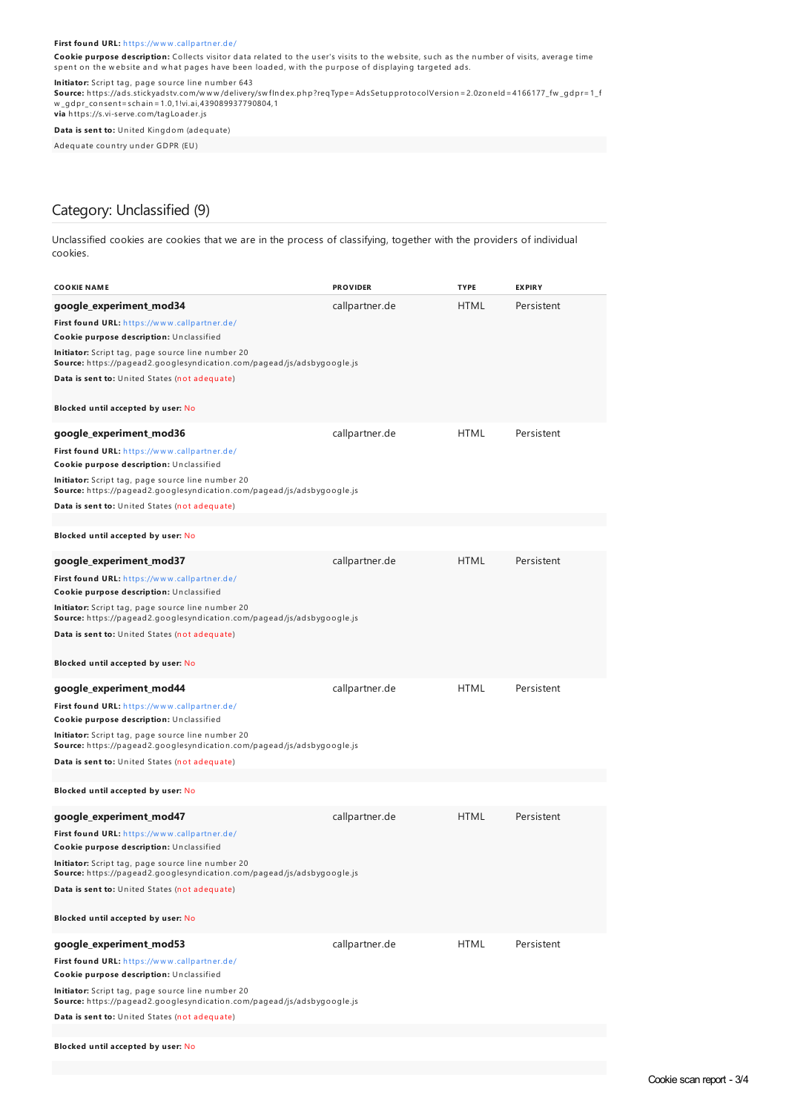#### **First found URL:** h ttps://w w w [.callpartn](https://www.callpartner.de/) er.de/

**Cookie purpose description:** Collects visitor data related to the user's visits to the website, such as the number of visits, average time spent on the website and what pages have been loaded, with the purpose of displaying targeted ads.

<mark>Initiator:</mark> Script tag, page source line number 643<br>**Source:** https://ads.stickyadstv.com/www/delivery/swfIndex.php?reqType=AdsSetupprotocolVersion=2.0zoneId=4166177\_fw\_gdpr=1\_f w \_gdpr\_con sen t=sch ain=1.0,1!vi.ai,439089937790804,1 **via** h ttps://s.vi-serve.com/tagLoader.js

**Data is sent to:** United Kingdom (adequate)

Adequ ate cou n try u n der GDPR (EU)

## Category: Unclassified (9)

Unclassified cookies are cookies that we are in the process of classifying, together with the providers of individual cookies.

| <b>COOKIE NAME</b>                                                                                                          | <b>PROVIDER</b> | <b>TYPE</b> | <b>EXPIRY</b> |  |  |
|-----------------------------------------------------------------------------------------------------------------------------|-----------------|-------------|---------------|--|--|
| google_experiment_mod34                                                                                                     | callpartner.de  | HTML        | Persistent    |  |  |
| First found URL: https://www.callpartner.de/<br>Cookie purpose description: Unclassified                                    |                 |             |               |  |  |
| Initiator: Script tag, page source line number 20<br>Source: https://pagead2.googlesyndication.com/pagead/js/adsbygoogle.js |                 |             |               |  |  |
| Data is sent to: United States (not adequate)                                                                               |                 |             |               |  |  |
| Blocked until accepted by user: No                                                                                          |                 |             |               |  |  |
| google_experiment_mod36                                                                                                     | callpartner.de  | <b>HTML</b> | Persistent    |  |  |
| First found URL: https://www.callpartner.de/<br>Cookie purpose description: Unclassified                                    |                 |             |               |  |  |
| Initiator: Script tag, page source line number 20<br>Source: https://pagead2.googlesyndication.com/pagead/js/adsbygoogle.js |                 |             |               |  |  |
| Data is sent to: United States (not adequate)                                                                               |                 |             |               |  |  |
| Blocked until accepted by user: No                                                                                          |                 |             |               |  |  |
| google_experiment_mod37                                                                                                     | callpartner.de  | <b>HTML</b> | Persistent    |  |  |
| First found URL: https://www.callpartner.de/<br>Cookie purpose description: Unclassified                                    |                 |             |               |  |  |
| Initiator: Script tag, page source line number 20<br>Source: https://pagead2.googlesyndication.com/pagead/js/adsbygoogle.js |                 |             |               |  |  |
| Data is sent to: United States (not adequate)                                                                               |                 |             |               |  |  |
| Blocked until accepted by user: No                                                                                          |                 |             |               |  |  |
| google_experiment_mod44                                                                                                     | callpartner.de  | <b>HTML</b> | Persistent    |  |  |
| First found URL: https://www.callpartner.de/<br>Cookie purpose description: Unclassified                                    |                 |             |               |  |  |
| Initiator: Script tag, page source line number 20<br>Source: https://pagead2.googlesyndication.com/pagead/js/adsbygoogle.js |                 |             |               |  |  |
| Data is sent to: United States (not adequate)                                                                               |                 |             |               |  |  |
| Blocked until accepted by user: No                                                                                          |                 |             |               |  |  |
| google_experiment_mod47                                                                                                     | callpartner.de  | <b>HTML</b> | Persistent    |  |  |
| First found URL: https://www.callpartner.de/<br>Cookie purpose description: Unclassified                                    |                 |             |               |  |  |
| Initiator: Script tag, page source line number 20<br>Source: https://pagead2.googlesyndication.com/pagead/js/adsbygoogle.js |                 |             |               |  |  |
| Data is sent to: United States (not adequate)                                                                               |                 |             |               |  |  |
| Blocked until accepted by user: No                                                                                          |                 |             |               |  |  |
| google_experiment_mod53                                                                                                     | callpartner.de  | <b>HTML</b> | Persistent    |  |  |
| First found URL: https://www.callpartner.de/<br>Cookie purpose description: Unclassified                                    |                 |             |               |  |  |
| Initiator: Script tag, page source line number 20<br>Source: https://pagead2.googlesyndication.com/pagead/js/adsbygoogle.js |                 |             |               |  |  |
| Data is sent to: United States (not adequate)                                                                               |                 |             |               |  |  |
|                                                                                                                             |                 |             |               |  |  |

**Blocked until accepted by user:** No